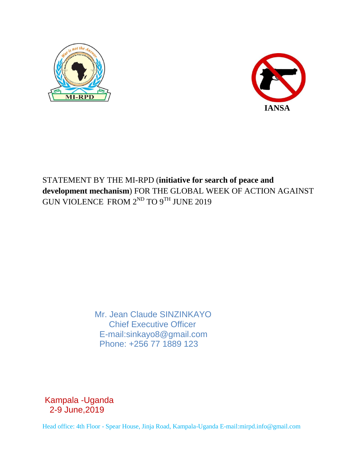



## STATEMENT BY THE MI-RPD (**initiative for search of peace and development mechanism**) FOR THE GLOBAL WEEK OF ACTION AGAINST GUN VIOLENCE FROM  $2^{ND}$  TO  $9^{TH}$  JUNE 2019

 Mr. Jean Claude SINZINKAYO Chief Executive Officer E-mail:sinkayo8@gmail.com Phone: +256 77 1889 123

Kampala -Uganda 2-9 June,2019

Head office: 4th Floor - Spear House, Jinja Road, Kampala-Uganda E-mail:mirpd.info@gmail.com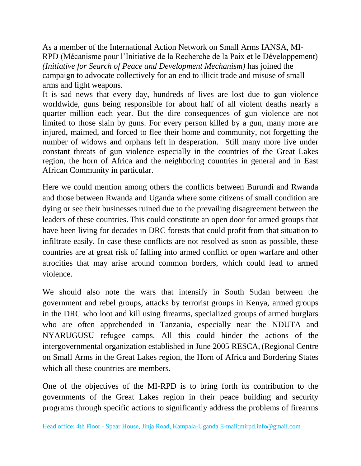As a member of the International Action Network on Small Arms IANSA, MI-RPD (Mécanisme pour l'Initiative de la Recherche de la Paix et le Développement) *(Initiative for Search of Peace and Development Mechanism)* has joined the campaign to advocate collectively for an end to illicit trade and misuse of small arms and light weapons.

It is sad news that every day, hundreds of lives are lost due to gun violence worldwide, guns being responsible for about half of all violent deaths nearly a quarter million each year. But the dire consequences of gun violence are not limited to those slain by guns. For every person killed by a gun, many more are injured, maimed, and forced to flee their home and community, not forgetting the number of widows and orphans left in desperation. Still many more live under constant threats of gun violence especially in the countries of the Great Lakes region, the horn of Africa and the neighboring countries in general and in East African Community in particular.

Here we could mention among others the conflicts between Burundi and Rwanda and those between Rwanda and Uganda where some citizens of small condition are dying or see their businesses ruined due to the prevailing disagreement between the leaders of these countries. This could constitute an open door for armed groups that have been living for decades in DRC forests that could profit from that situation to infiltrate easily. In case these conflicts are not resolved as soon as possible, these countries are at great risk of falling into armed conflict or open warfare and other atrocities that may arise around common borders, which could lead to armed violence.

We should also note the wars that intensify in South Sudan between the government and rebel groups, attacks by terrorist groups in Kenya, armed groups in the DRC who loot and kill using firearms, specialized groups of armed burglars who are often apprehended in Tanzania, especially near the NDUTA and NYARUGUSU refugee camps. All this could hinder the actions of the intergovernmental organization established in June 2005 RESCA, (Regional Centre on Small Arms in the Great Lakes region, the Horn of Africa and Bordering States which all these countries are members.

One of the objectives of the MI-RPD is to bring forth its contribution to the governments of the Great Lakes region in their peace building and security programs through specific actions to significantly address the problems of firearms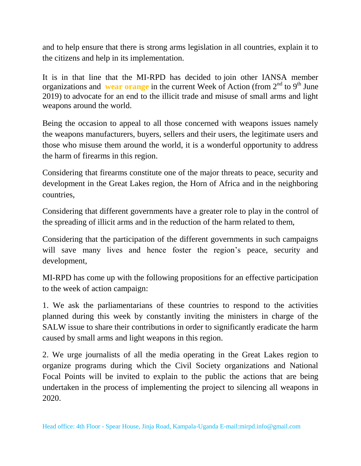and to help ensure that there is strong arms legislation in all countries, explain it to the citizens and help in its implementation.

It is in that line that the MI-RPD has decided to join other IANSA member organizations and **wear orange** in the current Week of Action (from  $2<sup>nd</sup>$  to  $9<sup>th</sup>$  June 2019) to advocate for an end to the illicit trade and misuse of small arms and light weapons around the world.

Being the occasion to appeal to all those concerned with weapons issues namely the weapons manufacturers, buyers, sellers and their users, the legitimate users and those who misuse them around the world, it is a wonderful opportunity to address the harm of firearms in this region.

Considering that firearms constitute one of the major threats to peace, security and development in the Great Lakes region, the Horn of Africa and in the neighboring countries,

Considering that different governments have a greater role to play in the control of the spreading of illicit arms and in the reduction of the harm related to them,

Considering that the participation of the different governments in such campaigns will save many lives and hence foster the region's peace, security and development,

MI-RPD has come up with the following propositions for an effective participation to the week of action campaign:

1. We ask the parliamentarians of these countries to respond to the activities planned during this week by constantly inviting the ministers in charge of the SALW issue to share their contributions in order to significantly eradicate the harm caused by small arms and light weapons in this region.

2. We urge journalists of all the media operating in the Great Lakes region to organize programs during which the Civil Society organizations and National Focal Points will be invited to explain to the public the actions that are being undertaken in the process of implementing the project to silencing all weapons in 2020.